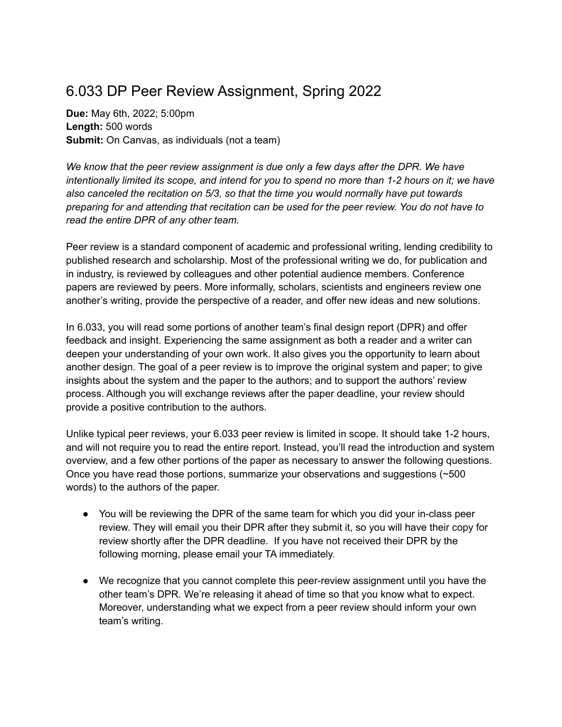## 6.033 DP Peer Review Assignment, Spring 2022

**Due:** May 6th, 2022; 5:00pm **Length:** 500 words **Submit:** On Canvas, as individuals (not a team)

*We know that the peer review assignment is due only a few days after the DPR. We have* intentionally limited its scope, and intend for you to spend no more than 1-2 hours on it; we have *also canceled the recitation on 5/3, so that the time you would normally have put towards preparing for and attending that recitation can be used for the peer review. You do not have to read the entire DPR of any other team.*

Peer review is a standard component of academic and professional writing, lending credibility to published research and scholarship. Most of the professional writing we do, for publication and in industry, is reviewed by colleagues and other potential audience members. Conference papers are reviewed by peers. More informally, scholars, scientists and engineers review one another's writing, provide the perspective of a reader, and offer new ideas and new solutions.

In 6.033, you will read some portions of another team's final design report (DPR) and offer feedback and insight. Experiencing the same assignment as both a reader and a writer can deepen your understanding of your own work. It also gives you the opportunity to learn about another design. The goal of a peer review is to improve the original system and paper; to give insights about the system and the paper to the authors; and to support the authors' review process. Although you will exchange reviews after the paper deadline, your review should provide a positive contribution to the authors.

Unlike typical peer reviews, your 6.033 peer review is limited in scope. It should take 1-2 hours, and will not require you to read the entire report. Instead, you'll read the introduction and system overview, and a few other portions of the paper as necessary to answer the following questions. Once you have read those portions, summarize your observations and suggestions (~500 words) to the authors of the paper.

- You will be reviewing the DPR of the same team for which you did your in-class peer review. They will email you their DPR after they submit it, so you will have their copy for review shortly after the DPR deadline. If you have not received their DPR by the following morning, please email your TA immediately.
- We recognize that you cannot complete this peer-review assignment until you have the other team's DPR. We're releasing it ahead of time so that you know what to expect. Moreover, understanding what we expect from a peer review should inform your own team's writing.